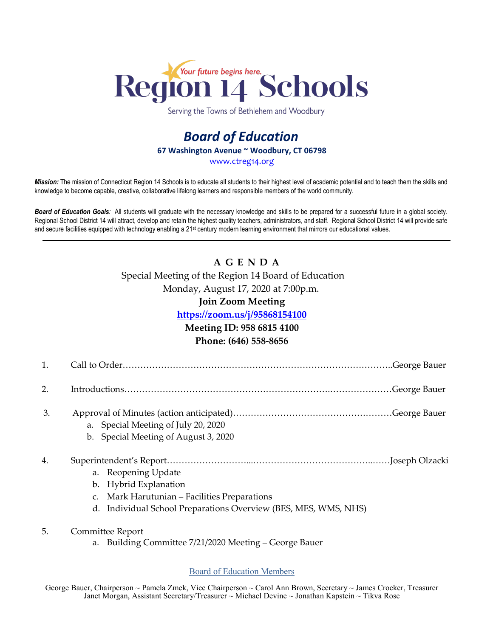

Serving the Towns of Bethlehem and Woodbury

## *Board of Education* **67 Washington Avenue ~ Woodbury, CT 06798** [www.ctreg14.org](http://www.ctreg14.org/)

*Mission:* The mission of Connecticut Region 14 Schools is to educate all students to their highest level of academic potential and to teach them the skills and knowledge to become capable, creative, collaborative lifelong learners and responsible members of the world community.

*Board of Education Goals:* All students will graduate with the necessary knowledge and skills to be prepared for a successful future in a global society. Regional School District 14 will attract, develop and retain the highest quality teachers, administrators, and staff. Regional School District 14 will provide safe and secure facilities equipped with technology enabling a 21<sup>st</sup> century modern learning environment that mirrors our educational values.

# **A G E N D A** Special Meeting of the Region 14 Board of Education Monday, August 17, 2020 at 7:00p.m.

## **Join Zoom Meeting**

## **<https://zoom.us/j/95868154100>**

## **Meeting ID: 958 6815 4100**

#### **Phone: (646) 558-8656**

| π. |  |
|----|--|
|    |  |

2. Introductions…………………………………………………………….…………………George Bauer

- 3. Approval of Minutes (action anticipated)………………………………………………George Bauer
	- a. Special Meeting of July 20, 2020
	- b. Special Meeting of August 3, 2020

## 4. Superintendent's Report………………………...…………………………………..……Joseph Olzacki

- a. Reopening Update
- b. Hybrid Explanation
- c. Mark Harutunian Facilities Preparations
- d. Individual School Preparations Overview (BES, MES, WMS, NHS)
- 5. Committee Report
	- a. Building Committee 7/21/2020 Meeting George Bauer

#### Board of Education Members

George Bauer, Chairperson ~ Pamela Zmek, Vice Chairperson ~ Carol Ann Brown, Secretary ~ James Crocker, Treasurer Janet Morgan, Assistant Secretary/Treasurer ~ Michael Devine ~ Jonathan Kapstein ~ Tikva Rose